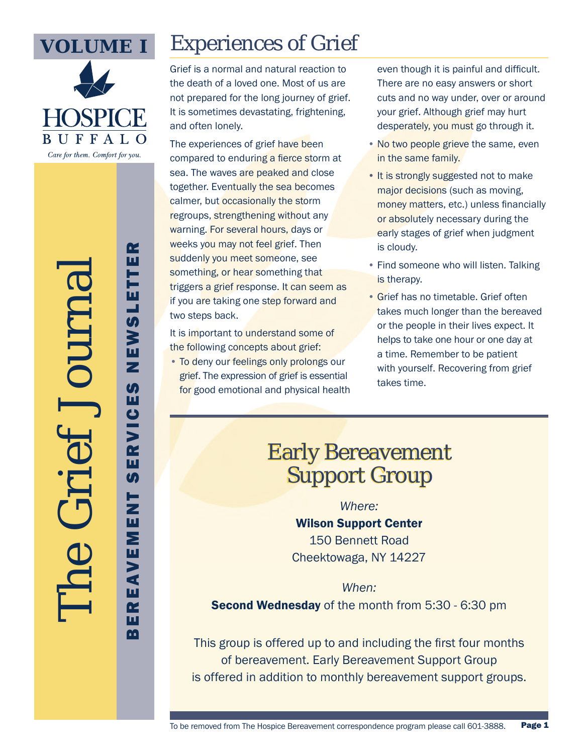

The Grief Journal

## Experiences of Grief

Grief is a normal and natural reaction to the death of a loved one. Most of us are not prepared for the long journey of grief. It is sometimes devastating, frightening, and often lonely.

The experiences of grief have been compared to enduring a fierce storm at sea. The waves are peaked and close together. Eventually the sea becomes calmer, but occasionally the storm regroups, strengthening without any warning. For several hours, days or weeks you may not feel grief. Then suddenly you meet someone, see something, or hear something that triggers a grief response. It can seem as if you are taking one step forward and two steps back.

It is important to understand some of the following concepts about grief:

• To deny our feelings only prolongs our grief. The expression of grief is essential for good emotional and physical health even though it is painful and difficult. There are no easy answers or short cuts and no way under, over or around your grief. Although grief may hurt desperately, you must go through it.

- No two people grieve the same, even in the same family.
- It is strongly suggested not to make major decisions (such as moving, money matters, etc.) unless financially or absolutely necessary during the early stages of grief when judgment is cloudy.
- Find someone who will listen. Talking is therapy.
- Grief has no timetable. Grief often takes much longer than the bereaved or the people in their lives expect. It helps to take one hour or one day at a time. Remember to be patient with yourself. Recovering from grief takes time.

#### Early Bereavement Support Group

#### *Where:*

Wilson Support Center 150 Bennett Road Cheektowaga, NY 14227

#### *When:*

Second Wednesday of the month from 5:30 - 6:30 pm

This group is offered up to and including the first four months of bereavement. Early Bereavement Support Group is offered in addition to monthly bereavement support groups.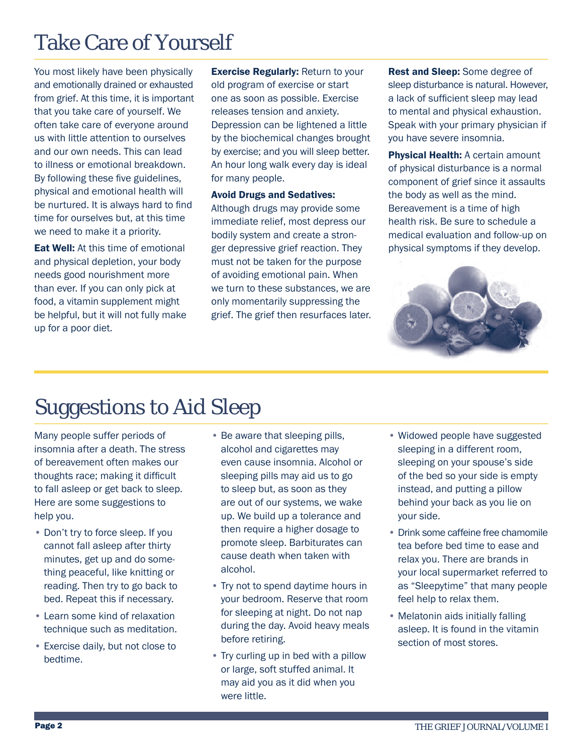### Take Care of Yourself

You most likely have been physically and emotionally drained or exhausted from grief. At this time, it is important that you take care of yourself. We often take care of everyone around us with little attention to ourselves and our own needs. This can lead to illness or emotional breakdown. By following these five guidelines, physical and emotional health will be nurtured. It is always hard to find time for ourselves but, at this time we need to make it a priority.

Eat Well: At this time of emotional and physical depletion, your body needs good nourishment more than ever. If you can only pick at food, a vitamin supplement might be helpful, but it will not fully make up for a poor diet.

**Exercise Regularly: Return to your** old program of exercise or start one as soon as possible. Exercise releases tension and anxiety. Depression can be lightened a little by the biochemical changes brought by exercise; and you will sleep better. An hour long walk every day is ideal for many people.

#### Avoid Drugs and Sedatives:

Although drugs may provide some immediate relief, most depress our bodily system and create a stronger depressive grief reaction. They must not be taken for the purpose of avoiding emotional pain. When we turn to these substances, we are only momentarily suppressing the grief. The grief then resurfaces later.

Rest and Sleep: Some degree of sleep disturbance is natural. However, a lack of sufficient sleep may lead to mental and physical exhaustion. Speak with your primary physician if you have severe insomnia.

**Physical Health: A certain amount** of physical disturbance is a normal component of grief since it assaults the body as well as the mind. Bereavement is a time of high health risk. Be sure to schedule a medical evaluation and follow-up on physical symptoms if they develop.



#### Suggestions to Aid Sleep

Many people suffer periods of insomnia after a death. The stress of bereavement often makes our thoughts race; making it difficult to fall asleep or get back to sleep. Here are some suggestions to help you.

- Don't try to force sleep. If you cannot fall asleep after thirty minutes, get up and do something peaceful, like knitting or reading. Then try to go back to bed. Repeat this if necessary.
- Learn some kind of relaxation technique such as meditation.
- Exercise daily, but not close to bedtime.
- Be aware that sleeping pills, alcohol and cigarettes may even cause insomnia. Alcohol or sleeping pills may aid us to go to sleep but, as soon as they are out of our systems, we wake up. We build up a tolerance and then require a higher dosage to promote sleep. Barbiturates can cause death when taken with alcohol.
- Try not to spend daytime hours in your bedroom. Reserve that room for sleeping at night. Do not nap during the day. Avoid heavy meals before retiring.
- Try curling up in bed with a pillow or large, soft stuffed animal. It may aid you as it did when you were little.
- Widowed people have suggested sleeping in a different room, sleeping on your spouse's side of the bed so your side is empty instead, and putting a pillow behind your back as you lie on your side.
- Drink some caffeine free chamomile tea before bed time to ease and relax you. There are brands in your local supermarket referred to as "Sleepytime" that many people feel help to relax them.
- Melatonin aids initially falling asleep. It is found in the vitamin section of most stores.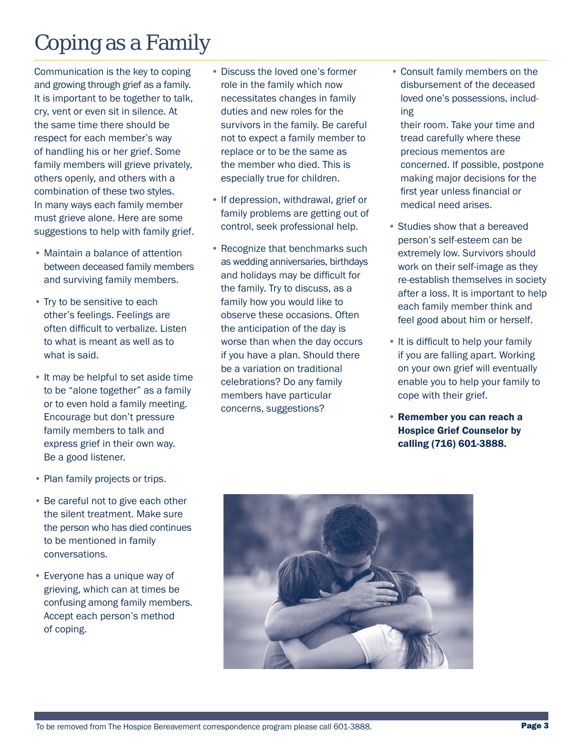## Coping as a Family

Communication is the key to coping and growing through grief as a family. It is important to be together to talk, cry, vent or even sit in silence. At the same time there should be respect for each member's way of handling his or her grief. Some family members will grieve privately, others openly, and others with a combination of these two styles. In many ways each family member must grieve alone. Here are some suggestions to help with family grief.

- Maintain a balance of attention between deceased family members and surviving family members.
- Try to be sensitive to each other's feelings. Feelings are often difficult to verbalize. Listen to what is meant as well as to what is said.
- It may be helpful to set aside time to be "alone together" as a family or to even hold a family meeting. Encourage but don't pressure family members to talk and express grief in their own way. Be a good listener.
- Plan family projects or trips.
- Be careful not to give each other the silent treatment. Make sure the person who has died continues to be mentioned in family conversations.
- Everyone has a unique way of grieving, which can at times be confusing among family members. Accept each person's method of coping.
- Discuss the loved one's former role in the family which now necessitates changes in family duties and new roles for the survivors in the family. Be careful not to expect a family member to replace or to be the same as the member who died. This is especially true for children.
- If depression, withdrawal, grief or family problems are getting out of control, seek professional help.
- Recognize that benchmarks such as wedding anniversaries, birthdays and holidays may be difficult for the family. Try to discuss, as a family how you would like to observe these occasions. Often the anticipation of the day is worse than when the day occurs if you have a plan. Should there be a variation on traditional celebrations? Do any family members have particular concerns, suggestions?
- Consult family members on the disbursement of the deceased loved one's possessions, including
- their room. Take your time and tread carefully where these precious mementos are concerned. If possible, postpone making major decisions for the first year unless financial or medical need arises.
- Studies show that a bereaved person's self-esteem can be extremely low. Survivors should work on their self-image as they re-establish themselves in society after a loss. It is important to help each family member think and feel good about him or herself.
- It is difficult to help your family if you are falling apart. Working on your own grief will eventually enable you to help your family to cope with their grief.
- Remember you can reach a Hospice Grief Counselor by calling (716) 601-3888.